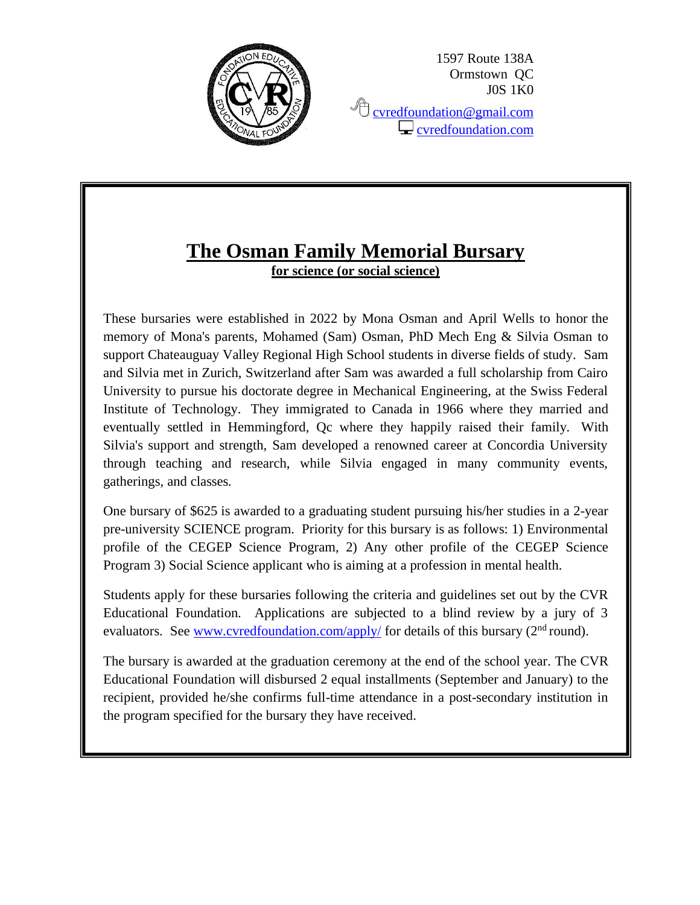

1597 Route 138A Ormstown QC J0S 1K0

<sup></sub><sup></sub> [cvredfoundation@gmail.com](mailto:cvredfoundation@gmail.com)</sup></sup>  $\Box$  [cvredfoundation.com](http://www.cvredfoundation.com/)

## **The Osman Family Memorial Bursary for science (or social science)**

These bursaries were established in 2022 by Mona Osman and April Wells to honor the memory of Mona's parents, Mohamed (Sam) Osman, PhD Mech Eng & Silvia Osman to support Chateauguay Valley Regional High School students in diverse fields of study. Sam and Silvia met in Zurich, Switzerland after Sam was awarded a full scholarship from Cairo University to pursue his doctorate degree in Mechanical Engineering, at the Swiss Federal Institute of Technology. They immigrated to Canada in 1966 where they married and eventually settled in Hemmingford, Qc where they happily raised their family. With Silvia's support and strength, Sam developed a renowned career at Concordia University through teaching and research, while Silvia engaged in many community events, gatherings, and classes.

One bursary of \$625 is awarded to a graduating student pursuing his/her studies in a 2-year pre-university SCIENCE program. Priority for this bursary is as follows: 1) Environmental profile of the CEGEP Science Program, 2) Any other profile of the CEGEP Science Program 3) Social Science applicant who is aiming at a profession in mental health.

Students apply for these bursaries following the criteria and guidelines set out by the CVR Educational Foundation. Applications are subjected to a blind review by a jury of 3 evaluators. See [www.cvredfoundation.com/apply/](http://www.cvredfoundation.com/apply/) for details of this bursary  $(2<sup>nd</sup>$  round).

The bursary is awarded at the graduation ceremony at the end of the school year. The CVR Educational Foundation will disbursed 2 equal installments (September and January) to the recipient, provided he/she confirms full-time attendance in a post-secondary institution in the program specified for the bursary they have received.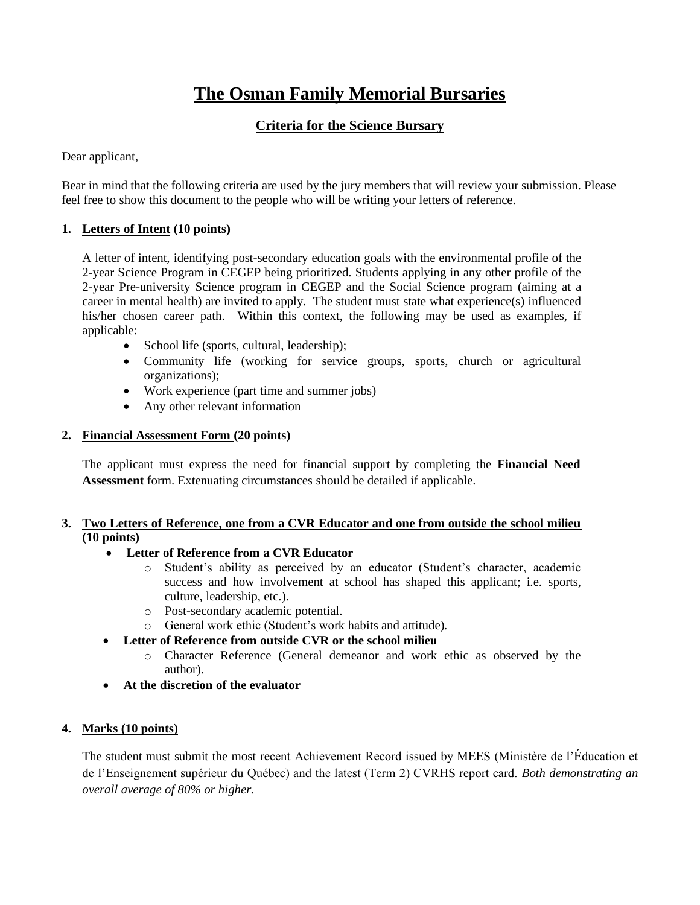# **The Osman Family Memorial Bursaries**

### **Criteria for the Science Bursary**

Dear applicant,

Bear in mind that the following criteria are used by the jury members that will review your submission. Please feel free to show this document to the people who will be writing your letters of reference.

#### **1. Letters of Intent (10 points)**

A letter of intent, identifying post-secondary education goals with the environmental profile of the 2-year Science Program in CEGEP being prioritized. Students applying in any other profile of the 2-year Pre-university Science program in CEGEP and the Social Science program (aiming at a career in mental health) are invited to apply. The student must state what experience(s) influenced his/her chosen career path. Within this context, the following may be used as examples, if applicable:

- School life (sports, cultural, leadership);
- Community life (working for service groups, sports, church or agricultural organizations);
- Work experience (part time and summer jobs)
- Any other relevant information

#### **2. Financial Assessment Form (20 points)**

The applicant must express the need for financial support by completing the **Financial Need Assessment** form. Extenuating circumstances should be detailed if applicable.

#### **3. Two Letters of Reference, one from a CVR Educator and one from outside the school milieu (10 points)**

#### • **Letter of Reference from a CVR Educator**

- o Student's ability as perceived by an educator (Student's character, academic success and how involvement at school has shaped this applicant; i.e. sports, culture, leadership, etc.).
- o Post-secondary academic potential.
- o General work ethic (Student's work habits and attitude).
- **Letter of Reference from outside CVR or the school milieu**
	- o Character Reference (General demeanor and work ethic as observed by the author).
- **At the discretion of the evaluator**

#### **4. Marks (10 points)**

The student must submit the most recent Achievement Record issued by MEES (Ministère de l'Éducation et de l'Enseignement supérieur du Québec) and the latest (Term 2) CVRHS report card. *Both demonstrating an overall average of 80% or higher.*